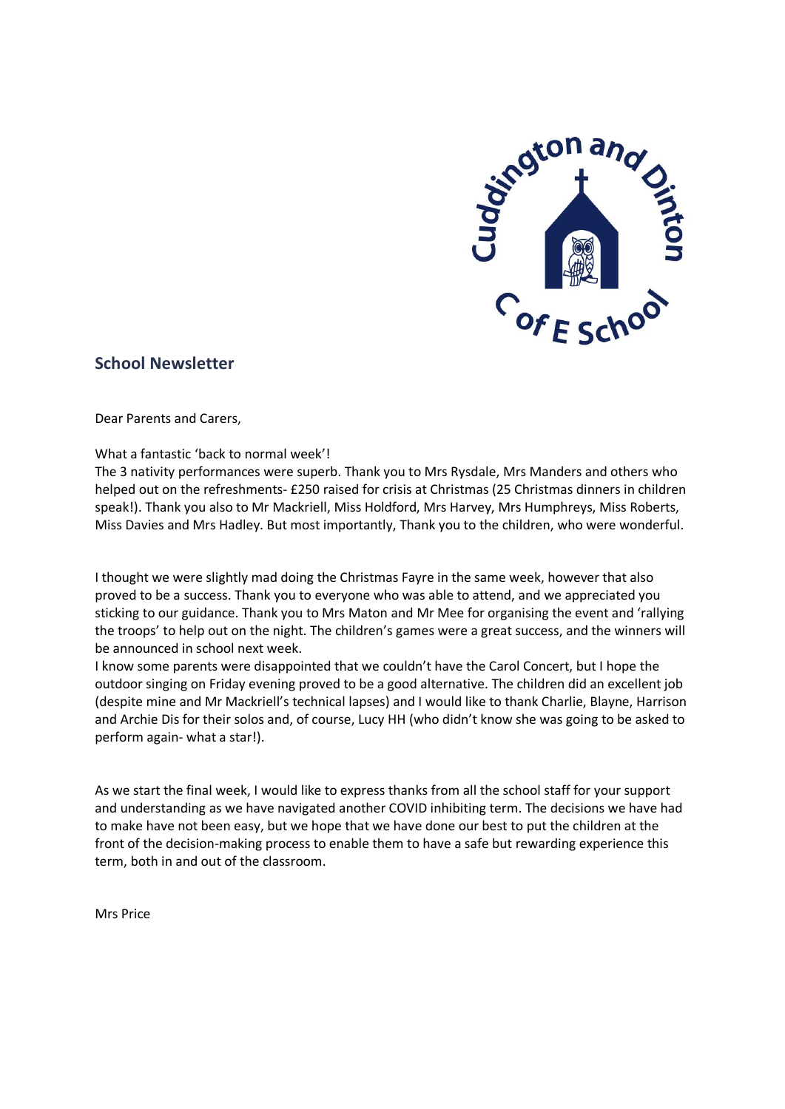

# **School Newsletter**

Dear Parents and Carers,

#### What a fantastic 'back to normal week'!

The 3 nativity performances were superb. Thank you to Mrs Rysdale, Mrs Manders and others who helped out on the refreshments- £250 raised for crisis at Christmas (25 Christmas dinners in children speak!). Thank you also to Mr Mackriell, Miss Holdford, Mrs Harvey, Mrs Humphreys, Miss Roberts, Miss Davies and Mrs Hadley. But most importantly, Thank you to the children, who were wonderful.

I thought we were slightly mad doing the Christmas Fayre in the same week, however that also proved to be a success. Thank you to everyone who was able to attend, and we appreciated you sticking to our guidance. Thank you to Mrs Maton and Mr Mee for organising the event and 'rallying the troops' to help out on the night. The children's games were a great success, and the winners will be announced in school next week.

I know some parents were disappointed that we couldn't have the Carol Concert, but I hope the outdoor singing on Friday evening proved to be a good alternative. The children did an excellent job (despite mine and Mr Mackriell's technical lapses) and I would like to thank Charlie, Blayne, Harrison and Archie Dis for their solos and, of course, Lucy HH (who didn't know she was going to be asked to perform again- what a star!).

As we start the final week, I would like to express thanks from all the school staff for your support and understanding as we have navigated another COVID inhibiting term. The decisions we have had to make have not been easy, but we hope that we have done our best to put the children at the front of the decision-making process to enable them to have a safe but rewarding experience this term, both in and out of the classroom.

Mrs Price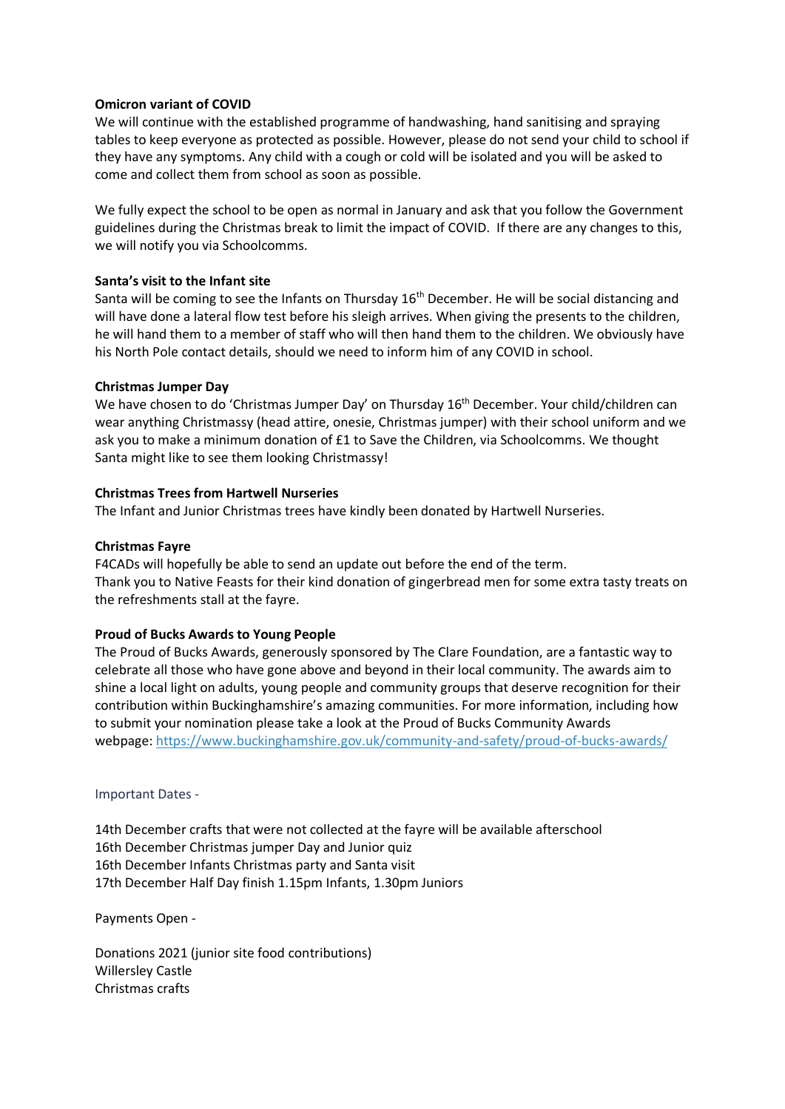#### **Omicron variant of COVID**

We will continue with the established programme of handwashing, hand sanitising and spraying tables to keep everyone as protected as possible. However, please do not send your child to school if they have any symptoms. Any child with a cough or cold will be isolated and you will be asked to come and collect them from school as soon as possible.

We fully expect the school to be open as normal in January and ask that you follow the Government guidelines during the Christmas break to limit the impact of COVID. If there are any changes to this, we will notify you via Schoolcomms.

# **Santa's visit to the Infant site**

Santa will be coming to see the Infants on Thursday  $16<sup>th</sup>$  December. He will be social distancing and will have done a lateral flow test before his sleigh arrives. When giving the presents to the children, he will hand them to a member of staff who will then hand them to the children. We obviously have his North Pole contact details, should we need to inform him of any COVID in school.

# **Christmas Jumper Day**

We have chosen to do 'Christmas Jumper Day' on Thursday 16<sup>th</sup> December. Your child/children can wear anything Christmassy (head attire, onesie, Christmas jumper) with their school uniform and we ask you to make a minimum donation of £1 to Save the Children, via Schoolcomms. We thought Santa might like to see them looking Christmassy!

# **Christmas Trees from Hartwell Nurseries**

The Infant and Junior Christmas trees have kindly been donated by Hartwell Nurseries.

# **Christmas Fayre**

F4CADs will hopefully be able to send an update out before the end of the term. Thank you to Native Feasts for their kind donation of gingerbread men for some extra tasty treats on the refreshments stall at the fayre.

#### **Proud of Bucks Awards to Young People**

The Proud of Bucks Awards, generously sponsored by The Clare Foundation, are a fantastic way to celebrate all those who have gone above and beyond in their local community. The awards aim to shine a local light on adults, young people and community groups that deserve recognition for their contribution within Buckinghamshire's amazing communities. For more information, including how to submit your nomination please take a look at the Proud of Bucks Community Awards webpage: <https://www.buckinghamshire.gov.uk/community-and-safety/proud-of-bucks-awards/>

Important Dates -

14th December crafts that were not collected at the fayre will be available afterschool 16th December Christmas jumper Day and Junior quiz 16th December Infants Christmas party and Santa visit 17th December Half Day finish 1.15pm Infants, 1.30pm Juniors

Payments Open -

Donations 2021 (junior site food contributions) Willersley Castle Christmas crafts